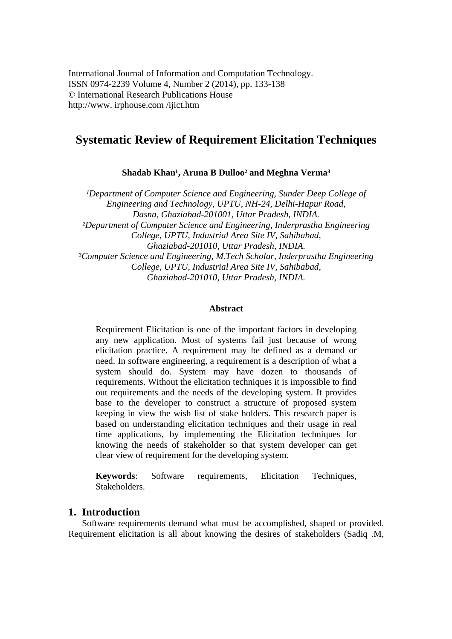# **Systematic Review of Requirement Elicitation Techniques**

Shadab Khan<sup>1</sup>, Aruna B Dulloo<sup>2</sup> and Meghna Verma<sup>3</sup>

<sup>1</sup>Department of Computer Science and Engineering, Sunder Deep College of *Engineering and Technology, UPTU, NH-24, Delhi-Hapur Road, Dasna, Ghaziabad-201001, Uttar Pradesh, INDIA. ²Department of Computer Science and Engineering, Inderprastha Engineering College, UPTU, Industrial Area Site IV, Sahibabad, Ghaziabad-201010, Uttar Pradesh, INDIA. ³Computer Science and Engineering, M.Tech Scholar, Inderprastha Engineering College, UPTU, Industrial Area Site IV, Sahibabad, Ghaziabad-201010, Uttar Pradesh, INDIA.* 

#### **Abstract**

Requirement Elicitation is one of the important factors in developing any new application. Most of systems fail just because of wrong elicitation practice. A requirement may be defined as a demand or need. In software engineering, a requirement is a description of what a system should do. System may have dozen to thousands of requirements. Without the elicitation techniques it is impossible to find out requirements and the needs of the developing system. It provides base to the developer to construct a structure of proposed system keeping in view the wish list of stake holders. This research paper is based on understanding elicitation techniques and their usage in real time applications, by implementing the Elicitation techniques for knowing the needs of stakeholder so that system developer can get clear view of requirement for the developing system.

**Keywords**: Software requirements, Elicitation Techniques, Stakeholders.

# **1. Introduction**

Software requirements demand what must be accomplished, shaped or provided. Requirement elicitation is all about knowing the desires of stakeholders (Sadiq .M,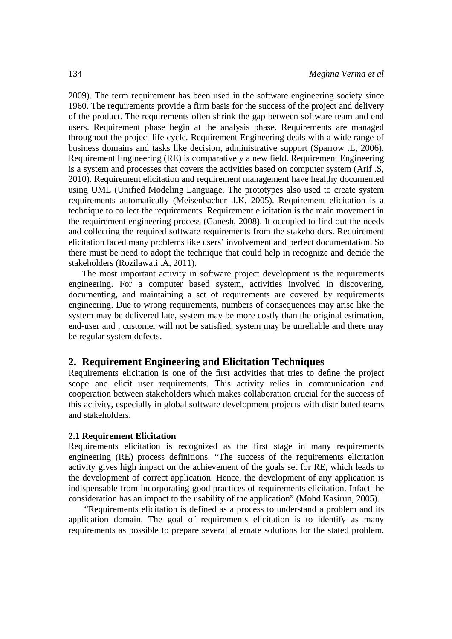2009). The term requirement has been used in the software engineering society since 1960. The requirements provide a firm basis for the success of the project and delivery of the product. The requirements often shrink the gap between software team and end users. Requirement phase begin at the analysis phase. Requirements are managed throughout the project life cycle. Requirement Engineering deals with a wide range of business domains and tasks like decision, administrative support (Sparrow .L, 2006). Requirement Engineering (RE) is comparatively a new field. Requirement Engineering is a system and processes that covers the activities based on computer system (Arif .S, 2010). Requirement elicitation and requirement management have healthy documented using UML (Unified Modeling Language. The prototypes also used to create system requirements automatically (Meisenbacher .l.K, 2005). Requirement elicitation is a technique to collect the requirements. Requirement elicitation is the main movement in the requirement engineering process (Ganesh, 2008). It occupied to find out the needs and collecting the required software requirements from the stakeholders. Requirement elicitation faced many problems like users' involvement and perfect documentation. So there must be need to adopt the technique that could help in recognize and decide the stakeholders (Rozilawati .A, 2011).

The most important activity in software project development is the requirements engineering. For a computer based system, activities involved in discovering, documenting, and maintaining a set of requirements are covered by requirements engineering. Due to wrong requirements, numbers of consequences may arise like the system may be delivered late, system may be more costly than the original estimation, end-user and , customer will not be satisfied, system may be unreliable and there may be regular system defects.

## **2. Requirement Engineering and Elicitation Techniques**

Requirements elicitation is one of the first activities that tries to define the project scope and elicit user requirements. This activity relies in communication and cooperation between stakeholders which makes collaboration crucial for the success of this activity, especially in global software development projects with distributed teams and stakeholders.

#### **2.1 Requirement Elicitation**

Requirements elicitation is recognized as the first stage in many requirements engineering (RE) process definitions. "The success of the requirements elicitation activity gives high impact on the achievement of the goals set for RE, which leads to the development of correct application. Hence, the development of any application is indispensable from incorporating good practices of requirements elicitation. Infact the consideration has an impact to the usability of the application" (Mohd Kasirun, 2005).

 "Requirements elicitation is defined as a process to understand a problem and its application domain. The goal of requirements elicitation is to identify as many requirements as possible to prepare several alternate solutions for the stated problem.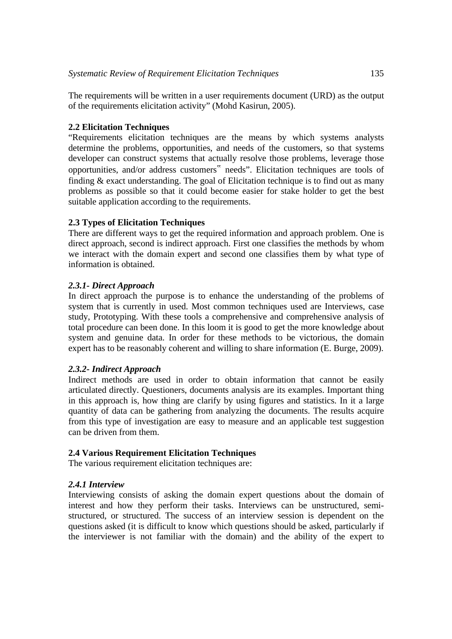The requirements will be written in a user requirements document (URD) as the output of the requirements elicitation activity" (Mohd Kasirun, 2005).

## **2.2 Elicitation Techniques**

"Requirements elicitation techniques are the means by which systems analysts determine the problems, opportunities, and needs of the customers, so that systems developer can construct systems that actually resolve those problems, leverage those opportunities, and/or address customers" needs". Elicitation techniques are tools of finding  $&$  exact understanding. The goal of Elicitation technique is to find out as many problems as possible so that it could become easier for stake holder to get the best suitable application according to the requirements.

## **2.3 Types of Elicitation Techniques**

There are different ways to get the required information and approach problem. One is direct approach, second is indirect approach. First one classifies the methods by whom we interact with the domain expert and second one classifies them by what type of information is obtained.

## *2.3.1- Direct Approach*

In direct approach the purpose is to enhance the understanding of the problems of system that is currently in used. Most common techniques used are Interviews, case study, Prototyping. With these tools a comprehensive and comprehensive analysis of total procedure can been done. In this loom it is good to get the more knowledge about system and genuine data. In order for these methods to be victorious, the domain expert has to be reasonably coherent and willing to share information (E. Burge, 2009).

## *2.3.2- Indirect Approach*

Indirect methods are used in order to obtain information that cannot be easily articulated directly. Questioners, documents analysis are its examples. Important thing in this approach is, how thing are clarify by using figures and statistics. In it a large quantity of data can be gathering from analyzing the documents. The results acquire from this type of investigation are easy to measure and an applicable test suggestion can be driven from them.

# **2.4 Various Requirement Elicitation Techniques**

The various requirement elicitation techniques are:

#### *2.4.1 Interview*

Interviewing consists of asking the domain expert questions about the domain of interest and how they perform their tasks. Interviews can be unstructured, semistructured, or structured. The success of an interview session is dependent on the questions asked (it is difficult to know which questions should be asked, particularly if the interviewer is not familiar with the domain) and the ability of the expert to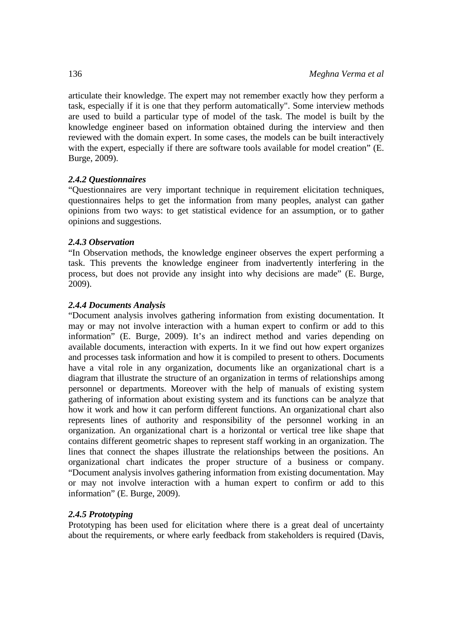articulate their knowledge. The expert may not remember exactly how they perform a task, especially if it is one that they perform automatically". Some interview methods are used to build a particular type of model of the task. The model is built by the knowledge engineer based on information obtained during the interview and then reviewed with the domain expert. In some cases, the models can be built interactively with the expert, especially if there are software tools available for model creation" (E. Burge, 2009).

# *2.4.2 Questionnaires*

"Questionnaires are very important technique in requirement elicitation techniques, questionnaires helps to get the information from many peoples, analyst can gather opinions from two ways: to get statistical evidence for an assumption, or to gather opinions and suggestions.

# *2.4.3 Observation*

"In Observation methods, the knowledge engineer observes the expert performing a task. This prevents the knowledge engineer from inadvertently interfering in the process, but does not provide any insight into why decisions are made" (E. Burge, 2009).

# *2.4.4 Documents Analysis*

"Document analysis involves gathering information from existing documentation. It may or may not involve interaction with a human expert to confirm or add to this information" (E. Burge, 2009). It's an indirect method and varies depending on available documents, interaction with experts. In it we find out how expert organizes and processes task information and how it is compiled to present to others. Documents have a vital role in any organization, documents like an organizational chart is a diagram that illustrate the structure of an organization in terms of relationships among personnel or departments. Moreover with the help of manuals of existing system gathering of information about existing system and its functions can be analyze that how it work and how it can perform different functions. An organizational chart also represents lines of authority and responsibility of the personnel working in an organization. An organizational chart is a horizontal or vertical tree like shape that contains different geometric shapes to represent staff working in an organization. The lines that connect the shapes illustrate the relationships between the positions. An organizational chart indicates the proper structure of a business or company. "Document analysis involves gathering information from existing documentation. May or may not involve interaction with a human expert to confirm or add to this information" (E. Burge, 2009).

# *2.4.5 Prototyping*

Prototyping has been used for elicitation where there is a great deal of uncertainty about the requirements, or where early feedback from stakeholders is required (Davis,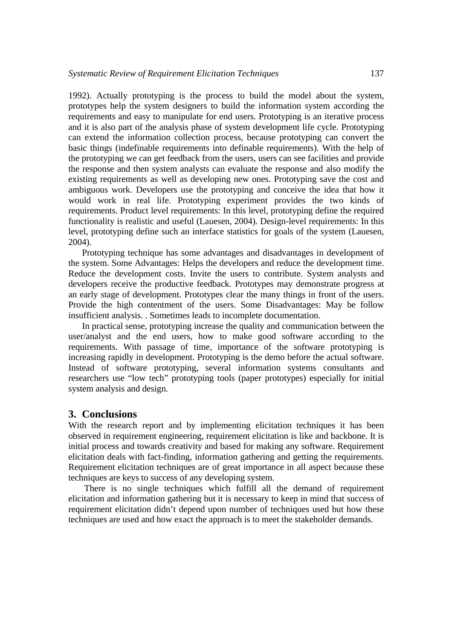1992). Actually prototyping is the process to build the model about the system, prototypes help the system designers to build the information system according the requirements and easy to manipulate for end users. Prototyping is an iterative process and it is also part of the analysis phase of system development life cycle. Prototyping can extend the information collection process, because prototyping can convert the basic things (indefinable requirements into definable requirements). With the help of the prototyping we can get feedback from the users, users can see facilities and provide the response and then system analysts can evaluate the response and also modify the existing requirements as well as developing new ones. Prototyping save the cost and ambiguous work. Developers use the prototyping and conceive the idea that how it would work in real life. Prototyping experiment provides the two kinds of requirements. Product level requirements: In this level, prototyping define the required functionality is realistic and useful (Lauesen, 2004). Design-level requirements: In this level, prototyping define such an interface statistics for goals of the system (Lauesen, 2004).

Prototyping technique has some advantages and disadvantages in development of the system. Some Advantages: Helps the developers and reduce the development time. Reduce the development costs. Invite the users to contribute. System analysts and developers receive the productive feedback. Prototypes may demonstrate progress at an early stage of development. Prototypes clear the many things in front of the users. Provide the high contentment of the users. Some Disadvantages: May be follow insufficient analysis. . Sometimes leads to incomplete documentation.

In practical sense, prototyping increase the quality and communication between the user/analyst and the end users, how to make good software according to the requirements. With passage of time, importance of the software prototyping is increasing rapidly in development. Prototyping is the demo before the actual software. Instead of software prototyping, several information systems consultants and researchers use "low tech" prototyping tools (paper prototypes) especially for initial system analysis and design.

## **3. Conclusions**

With the research report and by implementing elicitation techniques it has been observed in requirement engineering, requirement elicitation is like and backbone. It is initial process and towards creativity and based for making any software. Requirement elicitation deals with fact-finding, information gathering and getting the requirements. Requirement elicitation techniques are of great importance in all aspect because these techniques are keys to success of any developing system.

 There is no single techniques which fulfill all the demand of requirement elicitation and information gathering but it is necessary to keep in mind that success of requirement elicitation didn't depend upon number of techniques used but how these techniques are used and how exact the approach is to meet the stakeholder demands.